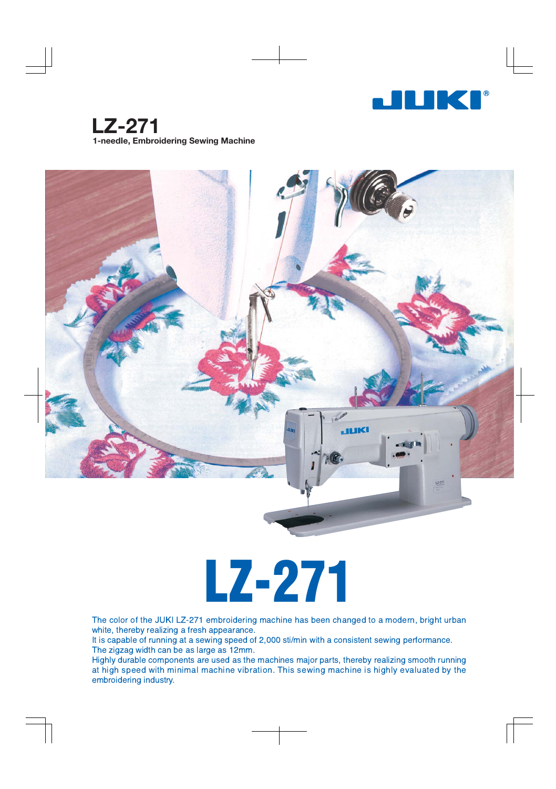

**LZ-271** 1-needle, Embroidering Sewing Machine



# LZ-271

The color of the JUKI LZ-271 embroidering machine has been changed to a modern, bright urban white, thereby realizing a fresh appearance.

It is capable of running at a sewing speed of 2,000 sti/min with a consistent sewing performance. The zigzag width can be as large as 12mm.

Highly durable components are used as the machines major parts, thereby realizing smooth running at high speed with minimal machine vibration. This sewing machine is highly evaluated by the embroidering industry.